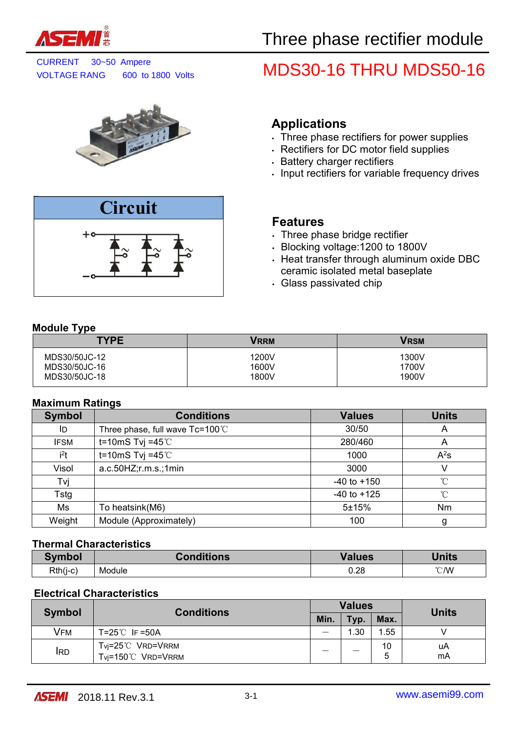

CURRENT 30~50 Ampere<br>VOLTAGE RANG 600 to 1800 Volts MDS30-16 THRU MDS50-16

# **Applications**

- . Three phase rectifiers for power supplies
- Rectifiers for DC motor field supplies
- . Battery charger rectifiers
- . Input rectifiers for variable frequency drives

# **Features**

- . Three phase bridge rectifier
- Blocking voltage:1200 to 1800V
- Heat transfer through aluminum oxide DBC ceramic isolated metal baseplate
- Glass passivated chip

### **Module Type**

| <b>TYPE</b>                    | <b>VRRM</b>    | <b>VRSM</b>    |
|--------------------------------|----------------|----------------|
| MDS30/50JC-12<br>MDS30/50JC-16 | 1200V<br>1600V | 1300V<br>1700V |
| MDS30/50JC-18                  | 1800V          | 1900V          |

### **Maximum Ratings**

| <b>Symbol</b> | <b>Conditions</b>               | <b>Values</b>   | <b>Units</b> |
|---------------|---------------------------------|-----------------|--------------|
| ID            | Three phase, full wave Tc=100°C | 30/50           | A            |
| <b>IFSM</b>   | t=10mS Tvj =45 $°C$             | 280/460         | A            |
| $i^2t$        | t=10mS Tvj =45 $°C$             | 1000            | $A^2s$       |
| Visol         | a.c.50HZ; r.m.s.; 1min          | 3000            |              |
| Tvj           |                                 | $-40$ to $+150$ | $^{\circ}$ C |
| Tstg          |                                 | $-40$ to $+125$ | $^{\circ}$ C |
| Ms            | To heatsink(M6)                 | 5±15%           | Nm           |
| Weight        | Module (Approximately)          | 100             | g            |

### **Thermal Characteristics**

| Symbol     | onditions | Values | <b>Units</b> |
|------------|-----------|--------|--------------|
| $Rth(i-c)$ | Module    | 0.28   | °C/W         |

### **Electrical Characteristics**

| <b>Symbol</b> | <b>Conditions</b>                     | <b>Values</b> |      |         | <b>Units</b> |  |
|---------------|---------------------------------------|---------------|------|---------|--------------|--|
|               |                                       |               | Typ. | Max.    |              |  |
| VFM           | $T=25^{\circ}$ IF =50A                | –             | 1.30 | .55     |              |  |
| <b>IRD</b>    | Tvj=25℃ VRD=VRRM<br>Tvi=150℃ VRD=VRRM | _             | _    | 10<br>ა | uA<br>mA     |  |

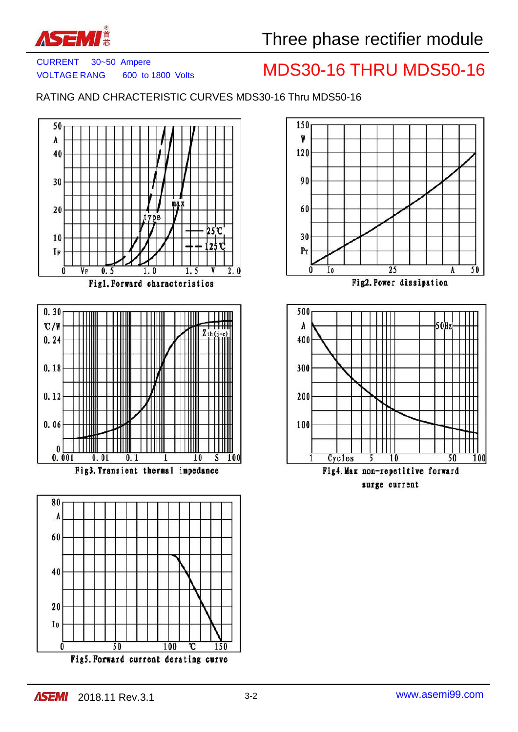

# CURRENT 30~50 Ampere<br>VOLTAGE RANG 600 to 1800 Volts MDS30-16 THRU MDS50-16

RATING AND CHRACTERISTIC CURVES MDS30-16 Thru MDS50-16





Cycles 10 Fig4. Max non-repetitive forward surge current

5

50

100